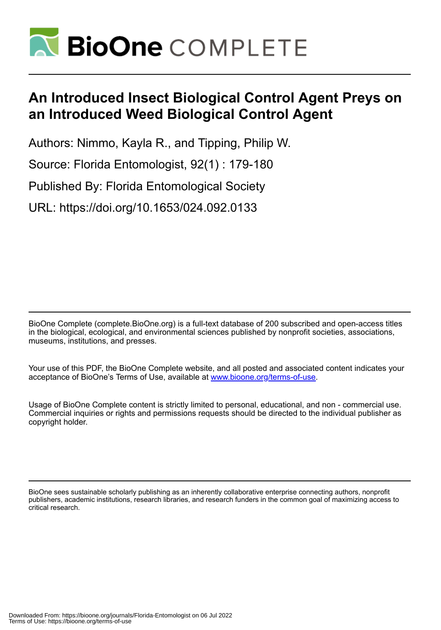

## **An Introduced Insect Biological Control Agent Preys on an Introduced Weed Biological Control Agent**

Authors: Nimmo, Kayla R., and Tipping, Philip W.

Source: Florida Entomologist, 92(1) : 179-180

Published By: Florida Entomological Society

URL: https://doi.org/10.1653/024.092.0133

BioOne Complete (complete.BioOne.org) is a full-text database of 200 subscribed and open-access titles in the biological, ecological, and environmental sciences published by nonprofit societies, associations, museums, institutions, and presses.

Your use of this PDF, the BioOne Complete website, and all posted and associated content indicates your acceptance of BioOne's Terms of Use, available at www.bioone.org/terms-of-use.

Usage of BioOne Complete content is strictly limited to personal, educational, and non - commercial use. Commercial inquiries or rights and permissions requests should be directed to the individual publisher as copyright holder.

BioOne sees sustainable scholarly publishing as an inherently collaborative enterprise connecting authors, nonprofit publishers, academic institutions, research libraries, and research funders in the common goal of maximizing access to critical research.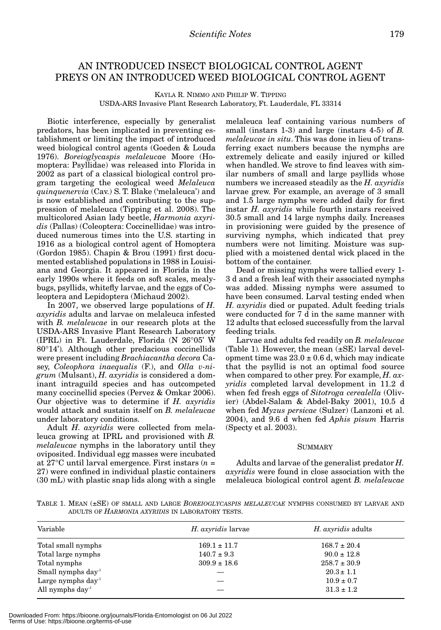## AN INTRODUCED INSECT BIOLOGICAL CONTROL AGENT PREYS ON AN INTRODUCED WEED BIOLOGICAL CONTROL AGENT

KAYLA R. NIMMO AND PHILIP W. TIPPING

USDA-ARS Invasive Plant Research Laboratory, Ft. Lauderdale, FL 33314

Biotic interference, especially by generalist predators, has been implicated in preventing establishment or limiting the impact of introduced weed biological control agents (Goeden & Louda 1976). *Boreioglycaspis melaleuca*e Moore (Homoptera: Psyllidae) was released into Florida in 2002 as part of a classical biological control program targeting the ecological weed *Melaleuca quinquenervia* (Cav.) S. T. Blake ('melaleuca') and is now established and contributing to the suppression of melaleuca (Tipping et al. 2008). The multicolored Asian lady beetle, *Harmonia axyridis* (Pallas) (Coleoptera: Coccinellidae) was introduced numerous times into the U.S. starting in 1916 as a biological control agent of Homoptera (Gordon 1985). Chapin & Brou (1991) first documented established populations in 1988 in Louisiana and Georgia. It appeared in Florida in the early 1990s where it feeds on soft scales, mealybugs, psyllids, whitefly larvae, and the eggs of Coleoptera and Lepidoptera (Michaud 2002).

In 2007, we observed large populations of *H. axyridis* adults and larvae on melaleuca infested with *B. melaleucae* in our research plots at the USDA-ARS Invasive Plant Research Laboratory (IPRL) in Ft. Lauderdale, Florida (N 26°05' W 80°14')*.* Although other predacious coccinellids were present including *Brachiacantha decora* Casey, *Coleophora inaequalis* (F.), and *Olla v-nigrum* (Mulsant), *H. axyridis* is considered a dominant intraguild species and has outcompeted many coccinellid species (Pervez & Omkar 2006). Our objective was to determine if *H. axyridis* would attack and sustain itself on *B. melaleucae* under laboratory conditions.

Adult *H. axyridis* were collected from melaleuca growing at IPRL and provisioned with *B. melaleucae* nymphs in the laboratory until they oviposited. Individual egg masses were incubated at 27°C until larval emergence. First instars (*n* = 27) were confined in individual plastic containers (30 mL) with plastic snap lids along with a single

melaleuca leaf containing various numbers of small (instars 1-3) and large (instars 4-5) of *B. melaleucae in situ*. This was done in lieu of transferring exact numbers because the nymphs are extremely delicate and easily injured or killed when handled. We strove to find leaves with similar numbers of small and large psyllids whose numbers we increased steadily as the *H. axyridis* larvae grew. For example, an average of 3 small and 1.5 large nymphs were added daily for first instar *H. axyridis* while fourth instars received 30.5 small and 14 large nymphs daily. Increases in provisioning were guided by the presence of surviving nymphs, which indicated that prey numbers were not limiting. Moisture was supplied with a moistened dental wick placed in the bottom of the container.

Dead or missing nymphs were tallied every 1- 3 d and a fresh leaf with their associated nymphs was added. Missing nymphs were assumed to have been consumed. Larval testing ended when *H. axyridis* died or pupated. Adult feeding trials were conducted for 7 d in the same manner with 12 adults that eclosed successfully from the larval feeding trials.

Larvae and adults fed readily on *B. melaleucae* (Table 1)*.* However, the mean (±SE) larval development time was  $23.0 \pm 0.6$  d, which may indicate that the psyllid is not an optimal food source when compared to other prey. For example, *H. axyridis* completed larval development in 11.2 d when fed fresh eggs of *Sitotroga cerealella* (Olivier) (Abdel-Salam & Abdel-Baky 2001), 10.5 d when fed *Myzus persicae* (Sulzer) (Lanzoni et al. 2004), and 9.6 d when fed *Aphis pisum* Harris (Specty et al. 2003).

## SUMMARY

Adults and larvae of the generalist predator *H. axyridis* were found in close association with the melaleuca biological control agent *B. melaleucae*

TABLE 1. MEAN (±SE) OF SMALL AND LARGE *BOREIOGLYCASPIS MELALEUCAE* NYMPHS CONSUMED BY LARVAE AND ADULTS OF *HARMONIA AXYRIDIS* IN LABORATORY TESTS.

| Variable                | <i>H. axyridis</i> larvae | <i>H. axyridis</i> adults |
|-------------------------|---------------------------|---------------------------|
| Total small nymphs      | $169.1 \pm 11.7$          | $168.7 \pm 20.4$          |
| Total large nymphs      | $140.7 \pm 9.3$           | $90.0 \pm 12.8$           |
| Total nymphs            | $309.9 \pm 18.6$          | $258.7 \pm 30.9$          |
| Small nymphs $day^1$    |                           | $20.3 \pm 1.1$            |
| Large nymphs $day^1$    |                           | $10.9 \pm 0.7$            |
| All nymphs $\rm{day}^1$ |                           | $31.3 \pm 1.2$            |

Downloaded From: https://bioone.org/journals/Florida-Entomologist on 06 Jul 2022 Terms of Use: https://bioone.org/terms-of-use